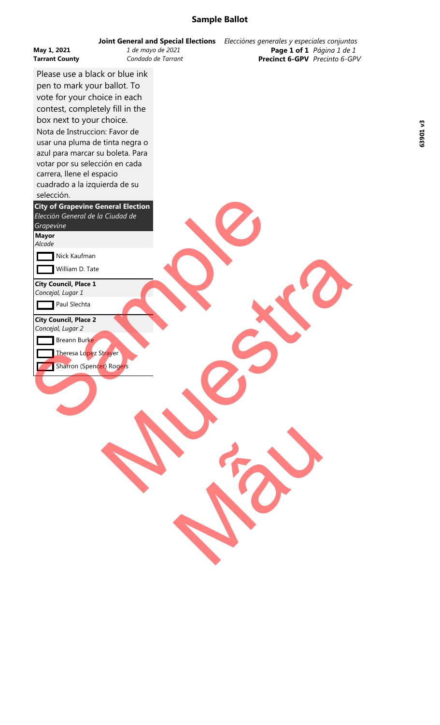## **Sample Ballot**

| May 1, 2021<br><b>Tarrant County</b><br>Please use a black or blue ink<br>pen to mark your ballot. To<br>vote for your choice in each<br>contest, completely fill in the<br>box next to your choice.<br>Nota de Instruccion: Favor de<br>usar una pluma de tinta negra o<br>azul para marcar su boleta. Para<br>votar por su selección en cada<br>carrera, llene el espacio<br>cuadrado a la izquierda de su<br>selección.<br><b>City of Grapevine General Election</b><br>Elección General de la Ciudad de<br>Grapevine | <b>Joint General and Special Elections</b><br>1 de mayo de 2021<br>Condado de Tarrant | Elecciónes generales y especiales conjuntas<br>Page 1 of 1 Página 1 de 1<br>Precinct 6-GPV Precinto 6-GPV |  |
|--------------------------------------------------------------------------------------------------------------------------------------------------------------------------------------------------------------------------------------------------------------------------------------------------------------------------------------------------------------------------------------------------------------------------------------------------------------------------------------------------------------------------|---------------------------------------------------------------------------------------|-----------------------------------------------------------------------------------------------------------|--|
| <b>Mayor</b><br>Alcade                                                                                                                                                                                                                                                                                                                                                                                                                                                                                                   |                                                                                       |                                                                                                           |  |
| Nick Kaufman                                                                                                                                                                                                                                                                                                                                                                                                                                                                                                             |                                                                                       |                                                                                                           |  |
| William D. Tate                                                                                                                                                                                                                                                                                                                                                                                                                                                                                                          |                                                                                       |                                                                                                           |  |
| <b>City Council, Place 1</b><br>Concejal, Lugar 1<br>Paul Slechta<br><b>City Council, Place 2</b><br>Concejal, Lugar 2<br>Breann Burke<br>Theresa Lopez Strayer<br>Sharron (Spencer) Rogers                                                                                                                                                                                                                                                                                                                              |                                                                                       |                                                                                                           |  |
|                                                                                                                                                                                                                                                                                                                                                                                                                                                                                                                          |                                                                                       |                                                                                                           |  |
|                                                                                                                                                                                                                                                                                                                                                                                                                                                                                                                          |                                                                                       |                                                                                                           |  |

63901v3 **63901 v3**